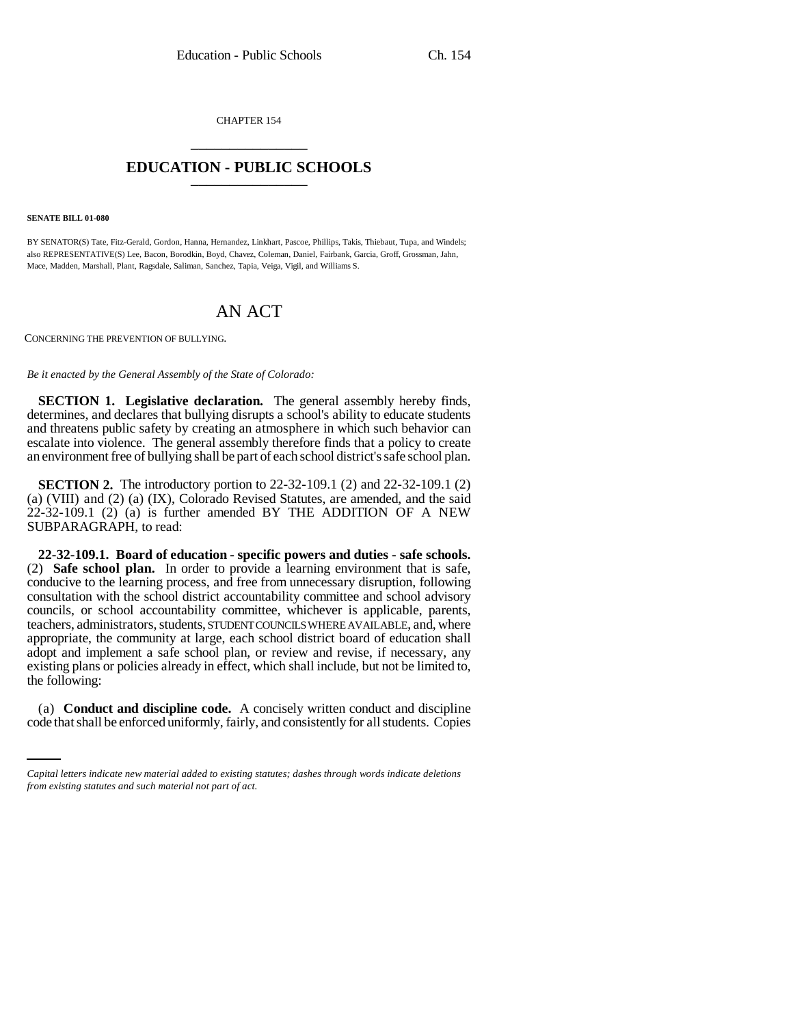CHAPTER 154 \_\_\_\_\_\_\_\_\_\_\_\_\_\_\_

## **EDUCATION - PUBLIC SCHOOLS** \_\_\_\_\_\_\_\_\_\_\_\_\_\_\_

## **SENATE BILL 01-080**

BY SENATOR(S) Tate, Fitz-Gerald, Gordon, Hanna, Hernandez, Linkhart, Pascoe, Phillips, Takis, Thiebaut, Tupa, and Windels; also REPRESENTATIVE(S) Lee, Bacon, Borodkin, Boyd, Chavez, Coleman, Daniel, Fairbank, Garcia, Groff, Grossman, Jahn, Mace, Madden, Marshall, Plant, Ragsdale, Saliman, Sanchez, Tapia, Veiga, Vigil, and Williams S.

## AN ACT

CONCERNING THE PREVENTION OF BULLYING.

## *Be it enacted by the General Assembly of the State of Colorado:*

**SECTION 1. Legislative declaration.** The general assembly hereby finds, determines, and declares that bullying disrupts a school's ability to educate students and threatens public safety by creating an atmosphere in which such behavior can escalate into violence. The general assembly therefore finds that a policy to create an environment free of bullying shall be part of each school district's safe school plan.

**SECTION 2.** The introductory portion to 22-32-109.1 (2) and 22-32-109.1 (2) (a) (VIII) and (2) (a) (IX), Colorado Revised Statutes, are amended, and the said 22-32-109.1 (2) (a) is further amended BY THE ADDITION OF A NEW SUBPARAGRAPH, to read:

**22-32-109.1. Board of education - specific powers and duties - safe schools.** (2) **Safe school plan.** In order to provide a learning environment that is safe, conducive to the learning process, and free from unnecessary disruption, following consultation with the school district accountability committee and school advisory councils, or school accountability committee, whichever is applicable, parents, teachers, administrators, students, STUDENT COUNCILS WHERE AVAILABLE, and, where appropriate, the community at large, each school district board of education shall adopt and implement a safe school plan, or review and revise, if necessary, any existing plans or policies already in effect, which shall include, but not be limited to, the following:

(a) **Conduct and discipline code.** A concisely written conduct and discipline code that shall be enforced uniformly, fairly, and consistently for all students. Copies

*Capital letters indicate new material added to existing statutes; dashes through words indicate deletions from existing statutes and such material not part of act.*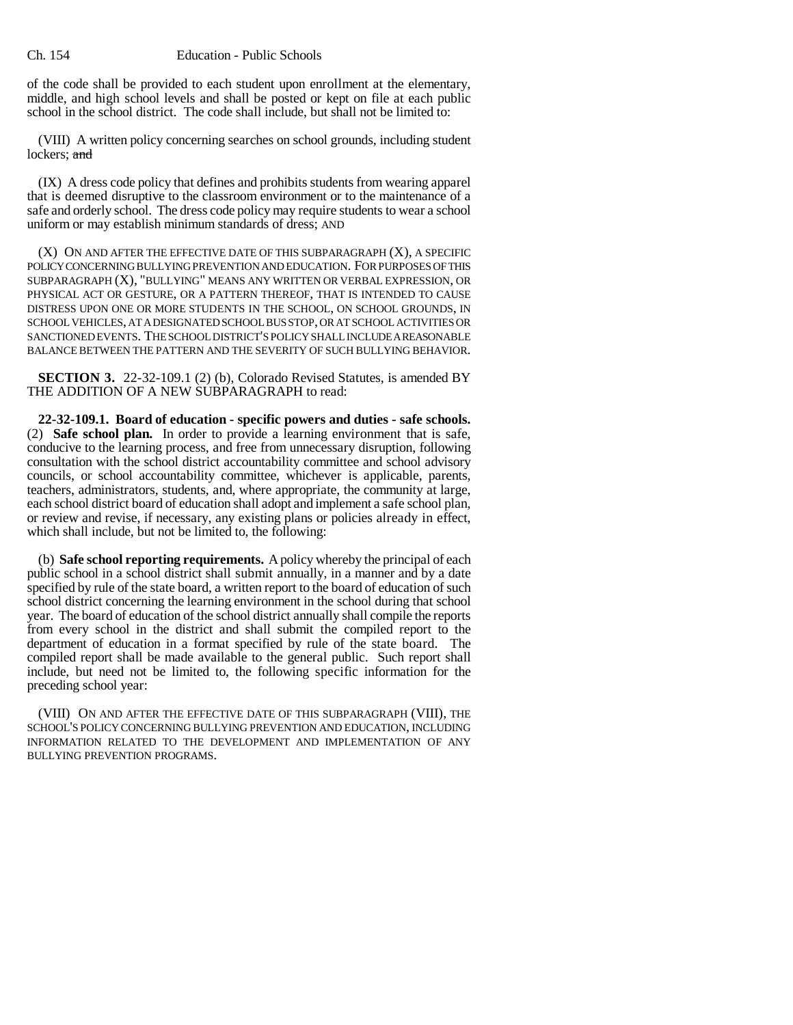of the code shall be provided to each student upon enrollment at the elementary, middle, and high school levels and shall be posted or kept on file at each public school in the school district. The code shall include, but shall not be limited to:

(VIII) A written policy concerning searches on school grounds, including student lockers; and

(IX) A dress code policy that defines and prohibits students from wearing apparel that is deemed disruptive to the classroom environment or to the maintenance of a safe and orderly school. The dress code policy may require students to wear a school uniform or may establish minimum standards of dress; AND

(X) ON AND AFTER THE EFFECTIVE DATE OF THIS SUBPARAGRAPH (X), A SPECIFIC POLICY CONCERNING BULLYING PREVENTION AND EDUCATION. FOR PURPOSES OF THIS SUBPARAGRAPH (X), "BULLYING" MEANS ANY WRITTEN OR VERBAL EXPRESSION, OR PHYSICAL ACT OR GESTURE, OR A PATTERN THEREOF, THAT IS INTENDED TO CAUSE DISTRESS UPON ONE OR MORE STUDENTS IN THE SCHOOL, ON SCHOOL GROUNDS, IN SCHOOL VEHICLES, AT A DESIGNATED SCHOOL BUS STOP, OR AT SCHOOL ACTIVITIES OR SANCTIONED EVENTS. THE SCHOOL DISTRICT'S POLICY SHALL INCLUDE A REASONABLE BALANCE BETWEEN THE PATTERN AND THE SEVERITY OF SUCH BULLYING BEHAVIOR.

**SECTION 3.** 22-32-109.1 (2) (b), Colorado Revised Statutes, is amended BY THE ADDITION OF A NEW SUBPARAGRAPH to read:

**22-32-109.1. Board of education - specific powers and duties - safe schools.** (2) **Safe school plan.** In order to provide a learning environment that is safe, conducive to the learning process, and free from unnecessary disruption, following consultation with the school district accountability committee and school advisory councils, or school accountability committee, whichever is applicable, parents, teachers, administrators, students, and, where appropriate, the community at large, each school district board of education shall adopt and implement a safe school plan, or review and revise, if necessary, any existing plans or policies already in effect, which shall include, but not be limited to, the following:

(b) **Safe school reporting requirements.** A policy whereby the principal of each public school in a school district shall submit annually, in a manner and by a date specified by rule of the state board, a written report to the board of education of such school district concerning the learning environment in the school during that school year. The board of education of the school district annually shall compile the reports from every school in the district and shall submit the compiled report to the department of education in a format specified by rule of the state board. The compiled report shall be made available to the general public. Such report shall include, but need not be limited to, the following specific information for the preceding school year:

(VIII) ON AND AFTER THE EFFECTIVE DATE OF THIS SUBPARAGRAPH (VIII), THE SCHOOL'S POLICY CONCERNING BULLYING PREVENTION AND EDUCATION, INCLUDING INFORMATION RELATED TO THE DEVELOPMENT AND IMPLEMENTATION OF ANY BULLYING PREVENTION PROGRAMS.